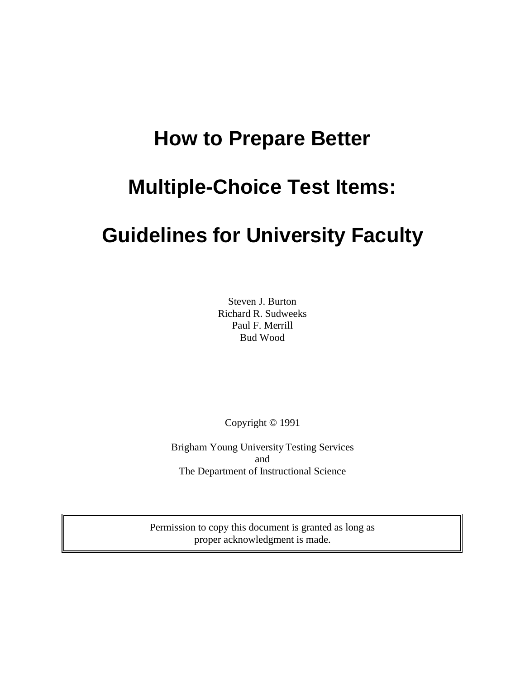# **How to Prepare Better**

# **Multiple-Choice Test Items:**

# **Guidelines for University Faculty**

Steven J. Burton Richard R. Sudweeks Paul F. Merrill Bud Wood

Copyright © 1991

Brigham Young University Testing Services and The Department of Instructional Science

Permission to copy this document is granted as long as proper acknowledgment is made.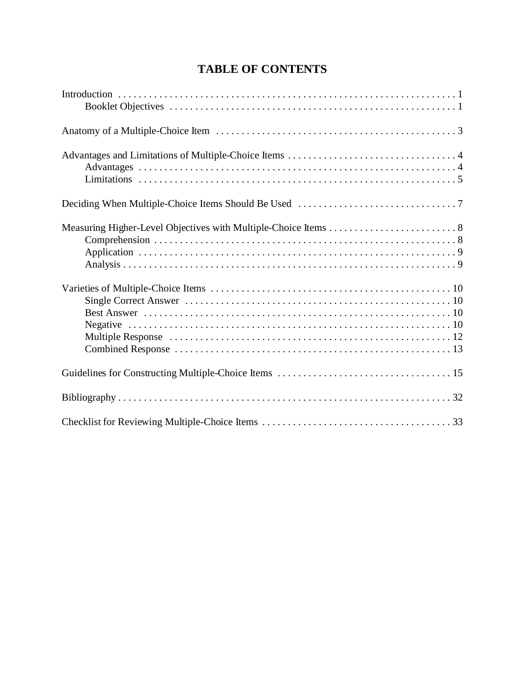# **TABLE OF CONTENTS**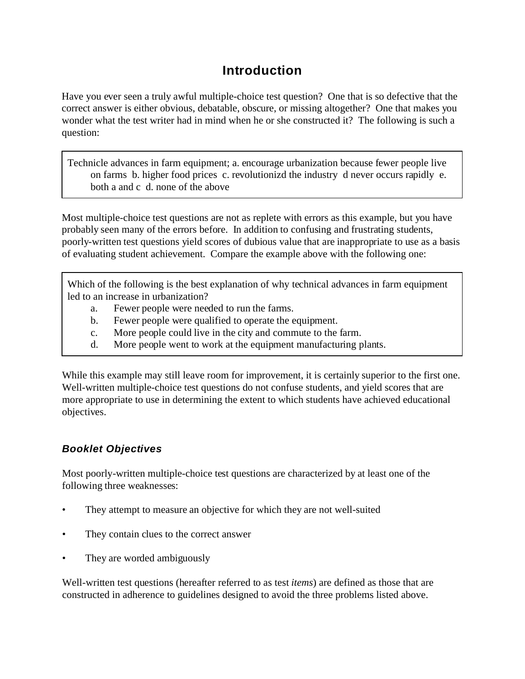# **Introduction**

Have you ever seen a truly awful multiple-choice test question? One that is so defective that the correct answer is either obvious, debatable, obscure, or missing altogether? One that makes you wonder what the test writer had in mind when he or she constructed it? The following is such a question:

Technicle advances in farm equipment; a. encourage urbanization because fewer people live on farms b. higher food prices c. revolutionizd the industry d never occurs rapidly e. both a and c d. none of the above

Most multiple-choice test questions are not as replete with errors as this example, but you have probably seen many of the errors before. In addition to confusing and frustrating students, poorly-written test questions yield scores of dubious value that are inappropriate to use as a basis of evaluating student achievement. Compare the example above with the following one:

Which of the following is the best explanation of why technical advances in farm equipment led to an increase in urbanization?

- a. Fewer people were needed to run the farms.
- b. Fewer people were qualified to operate the equipment.
- c. More people could live in the city and commute to the farm.
- d. More people went to work at the equipment manufacturing plants.

While this example may still leave room for improvement, it is certainly superior to the first one. Well-written multiple-choice test questions do not confuse students, and yield scores that are more appropriate to use in determining the extent to which students have achieved educational objectives.

# *Booklet Objectives*

Most poorly-written multiple-choice test questions are characterized by at least one of the following three weaknesses:

- They attempt to measure an objective for which they are not well-suited
- They contain clues to the correct answer
- They are worded ambiguously

Well-written test questions (hereafter referred to as test *items*) are defined as those that are constructed in adherence to guidelines designed to avoid the three problems listed above.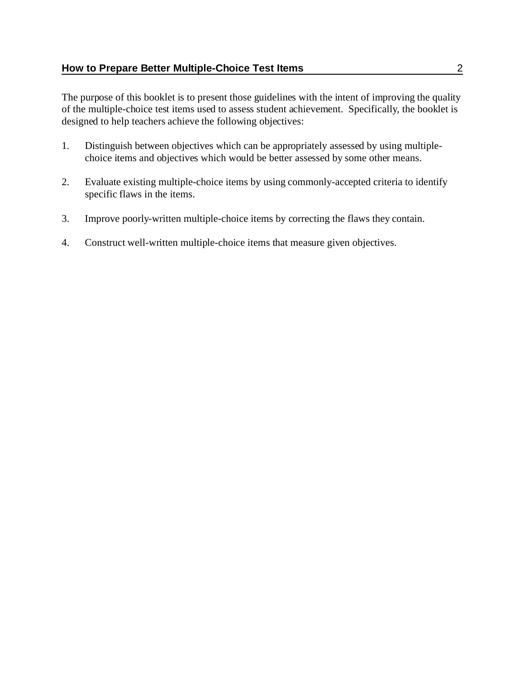The purpose of this booklet is to present those guidelines with the intent of improving the quality of the multiple-choice test items used to assess student achievement. Specifically, the booklet is designed to help teachers achieve the following objectives:

- 1. Distinguish between objectives which can be appropriately assessed by using multiplechoice items and objectives which would be better assessed by some other means.
- 2. Evaluate existing multiple-choice items by using commonly-accepted criteria to identify specific flaws in the items.
- 3. Improve poorly-written multiple-choice items by correcting the flaws they contain.
- 4. Construct well-written multiple-choice items that measure given objectives.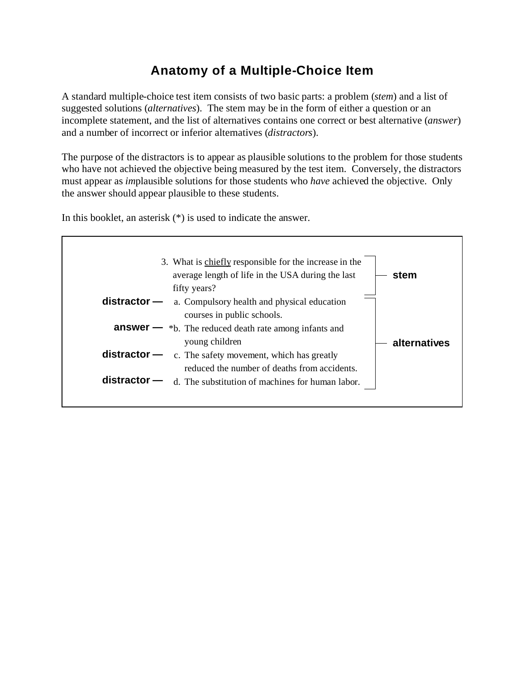# **Anatomy of a Multiple-Choice Item**

A standard multiple-choice test item consists of two basic parts: a problem (*stem*) and a list of suggested solutions (*alternatives*). The stem may be in the form of either a question or an incomplete statement, and the list of alternatives contains one correct or best alternative (*answer*) and a number of incorrect or inferior alternatives (*distractors*).

The purpose of the distractors is to appear as plausible solutions to the problem for those students who have not achieved the objective being measured by the test item. Conversely, the distractors must appear as *im*plausible solutions for those students who *have* achieved the objective. Only the answer should appear plausible to these students.

In this booklet, an asterisk (\*) is used to indicate the answer.

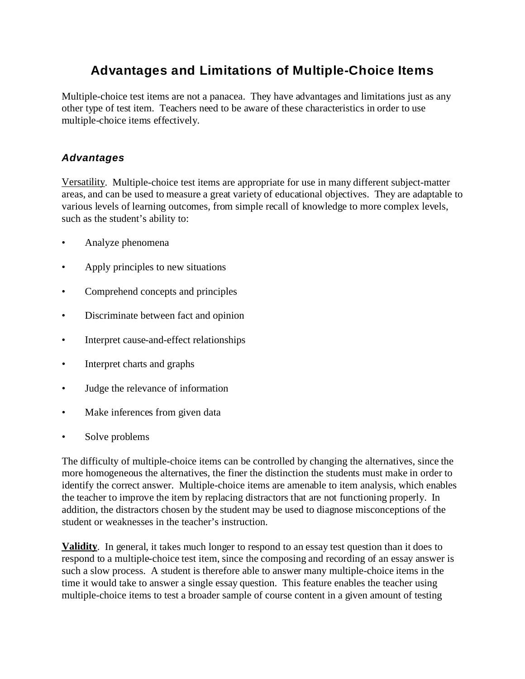# **Advantages and Limitations of Multiple-Choice Items**

Multiple-choice test items are not a panacea. They have advantages and limitations just as any other type of test item. Teachers need to be aware of these characteristics in order to use multiple-choice items effectively.

# *Advantages*

Versatility. Multiple-choice test items are appropriate for use in many different subject-matter areas, and can be used to measure a great variety of educational objectives. They are adaptable to various levels of learning outcomes, from simple recall of knowledge to more complex levels, such as the student's ability to:

- Analyze phenomena
- Apply principles to new situations
- Comprehend concepts and principles
- Discriminate between fact and opinion
- Interpret cause-and-effect relationships
- Interpret charts and graphs
- Judge the relevance of information
- Make inferences from given data
- Solve problems

The difficulty of multiple-choice items can be controlled by changing the alternatives, since the more homogeneous the alternatives, the finer the distinction the students must make in order to identify the correct answer. Multiple-choice items are amenable to item analysis, which enables the teacher to improve the item by replacing distractors that are not functioning properly. In addition, the distractors chosen by the student may be used to diagnose misconceptions of the student or weaknesses in the teacher's instruction.

**Validity**. In general, it takes much longer to respond to an essay test question than it does to respond to a multiple-choice test item, since the composing and recording of an essay answer is such a slow process. A student is therefore able to answer many multiple-choice items in the time it would take to answer a single essay question. This feature enables the teacher using multiple-choice items to test a broader sample of course content in a given amount of testing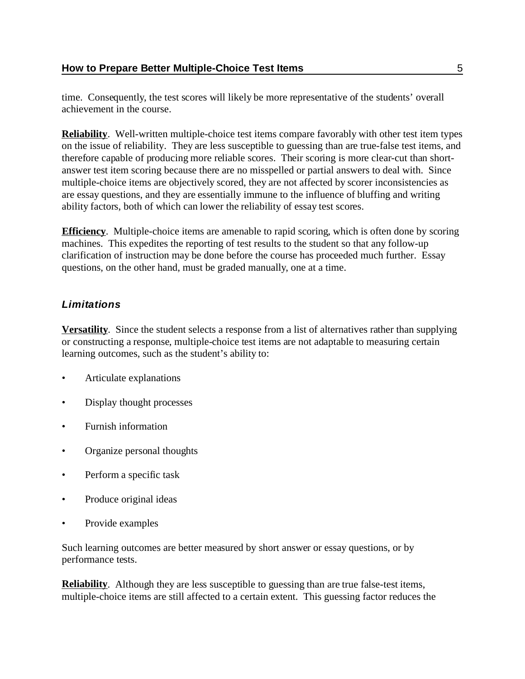time. Consequently, the test scores will likely be more representative of the students' overall achievement in the course.

**Reliability**. Well-written multiple-choice test items compare favorably with other test item types on the issue of reliability. They are less susceptible to guessing than are true-false test items, and therefore capable of producing more reliable scores. Their scoring is more clear-cut than shortanswer test item scoring because there are no misspelled or partial answers to deal with. Since multiple-choice items are objectively scored, they are not affected by scorer inconsistencies as are essay questions, and they are essentially immune to the influence of bluffing and writing ability factors, both of which can lower the reliability of essay test scores.

**Efficiency**. Multiple-choice items are amenable to rapid scoring, which is often done by scoring machines. This expedites the reporting of test results to the student so that any follow-up clarification of instruction may be done before the course has proceeded much further. Essay questions, on the other hand, must be graded manually, one at a time.

# *Limitations*

**Versatility**. Since the student selects a response from a list of alternatives rather than supplying or constructing a response, multiple-choice test items are not adaptable to measuring certain learning outcomes, such as the student's ability to:

- Articulate explanations
- Display thought processes
- Furnish information
- Organize personal thoughts
- Perform a specific task
- Produce original ideas
- Provide examples

Such learning outcomes are better measured by short answer or essay questions, or by performance tests.

**Reliability.** Although they are less susceptible to guessing than are true false-test items, multiple-choice items are still affected to a certain extent. This guessing factor reduces the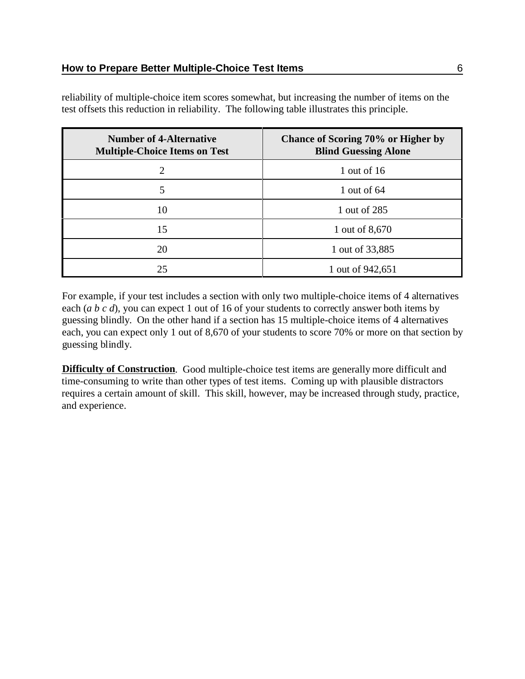| <b>Number of 4-Alternative</b><br><b>Multiple-Choice Items on Test</b> | <b>Chance of Scoring 70% or Higher by</b><br><b>Blind Guessing Alone</b> |
|------------------------------------------------------------------------|--------------------------------------------------------------------------|
| 2                                                                      | 1 out of 16                                                              |
| 5                                                                      | 1 out of $64$                                                            |
| 10                                                                     | 1 out of 285                                                             |
| 15                                                                     | 1 out of 8,670                                                           |
| 20                                                                     | 1 out of 33,885                                                          |
| 25                                                                     | 1 out of 942,651                                                         |

reliability of multiple-choice item scores somewhat, but increasing the number of items on the test offsets this reduction in reliability. The following table illustrates this principle.

For example, if your test includes a section with only two multiple-choice items of 4 alternatives each (*a b c d*), you can expect 1 out of 16 of your students to correctly answer both items by guessing blindly. On the other hand if a section has 15 multiple-choice items of 4 alternatives each, you can expect only 1 out of 8,670 of your students to score 70% or more on that section by guessing blindly.

**Difficulty of Construction.** Good multiple-choice test items are generally more difficult and time-consuming to write than other types of test items. Coming up with plausible distractors requires a certain amount of skill. This skill, however, may be increased through study, practice, and experience.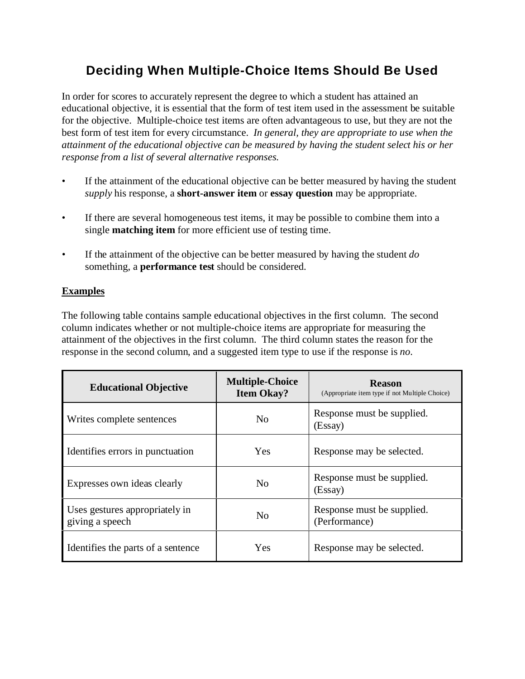# **Deciding When Multiple-Choice Items Should Be Used**

In order for scores to accurately represent the degree to which a student has attained an educational objective, it is essential that the form of test item used in the assessment be suitable for the objective. Multiple-choice test items are often advantageous to use, but they are not the best form of test item for every circumstance. *In general, they are appropriate to use when the attainment of the educational objective can be measured by having the student select his or her response from a list of several alternative responses.*

- If the attainment of the educational objective can be better measured by having the student *supply* his response, a **short-answer item** or **essay question** may be appropriate.
- If there are several homogeneous test items, it may be possible to combine them into a single **matching item** for more efficient use of testing time.
- If the attainment of the objective can be better measured by having the student *do* something, a **performance test** should be considered.

# **Examples**

The following table contains sample educational objectives in the first column. The second column indicates whether or not multiple-choice items are appropriate for measuring the attainment of the objectives in the first column. The third column states the reason for the response in the second column, and a suggested item type to use if the response is *no*.

| <b>Educational Objective</b>                      | <b>Multiple-Choice</b><br><b>Item Okay?</b> | <b>Reason</b><br>(Appropriate item type if not Multiple Choice) |
|---------------------------------------------------|---------------------------------------------|-----------------------------------------------------------------|
| Writes complete sentences                         | No                                          | Response must be supplied.<br>(Essay)                           |
| Identifies errors in punctuation                  | <b>Yes</b>                                  | Response may be selected.                                       |
| Expresses own ideas clearly                       | N <sub>0</sub>                              | Response must be supplied.<br>(Essay)                           |
| Uses gestures appropriately in<br>giving a speech | N <sub>0</sub>                              | Response must be supplied.<br>(Performance)                     |
| Identifies the parts of a sentence                | Yes                                         | Response may be selected.                                       |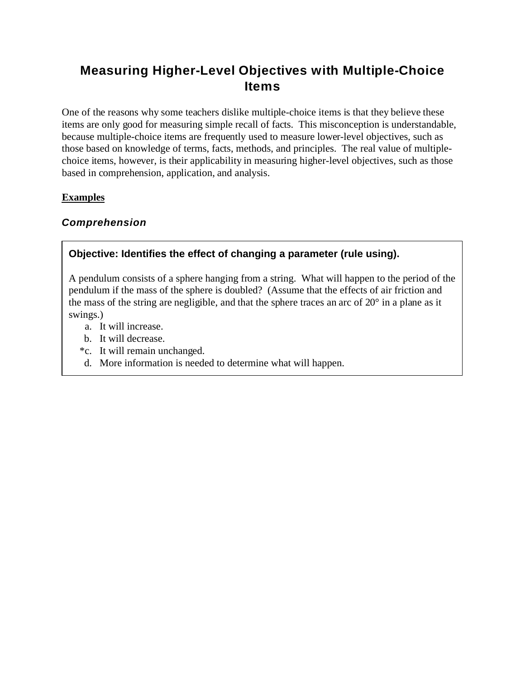# **Measuring Higher-Level Objectives with Multiple-Choice Items**

One of the reasons why some teachers dislike multiple-choice items is that they believe these items are only good for measuring simple recall of facts. This misconception is understandable, because multiple-choice items are frequently used to measure lower-level objectives, such as those based on knowledge of terms, facts, methods, and principles. The real value of multiplechoice items, however, is their applicability in measuring higher-level objectives, such as those based in comprehension, application, and analysis.

#### **Examples**

## *Comprehension*

## **Objective: Identifies the effect of changing a parameter (rule using).**

A pendulum consists of a sphere hanging from a string. What will happen to the period of the pendulum if the mass of the sphere is doubled? (Assume that the effects of air friction and the mass of the string are negligible, and that the sphere traces an arc of 20° in a plane as it swings.)

- a. It will increase.
- b. It will decrease.
- \*c. It will remain unchanged.
- d. More information is needed to determine what will happen.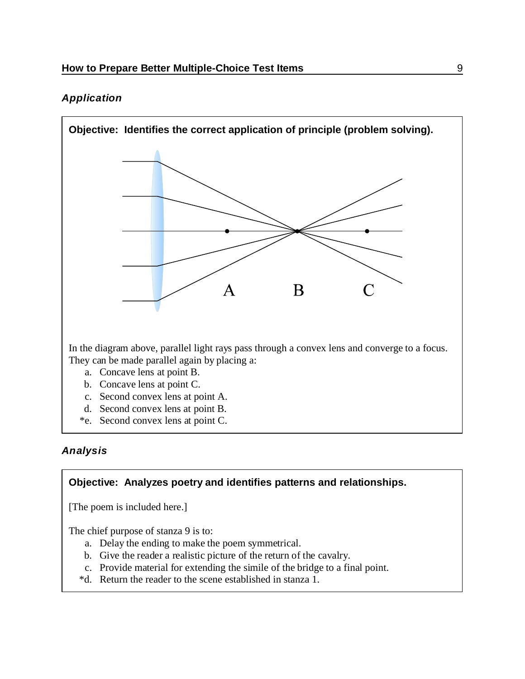# *Application*



# *Analysis*

# **Objective: Analyzes poetry and identifies patterns and relationships.**

[The poem is included here.]

The chief purpose of stanza 9 is to:

- a. Delay the ending to make the poem symmetrical.
- b. Give the reader a realistic picture of the return of the cavalry.
- c. Provide material for extending the simile of the bridge to a final point.
- \*d. Return the reader to the scene established in stanza 1.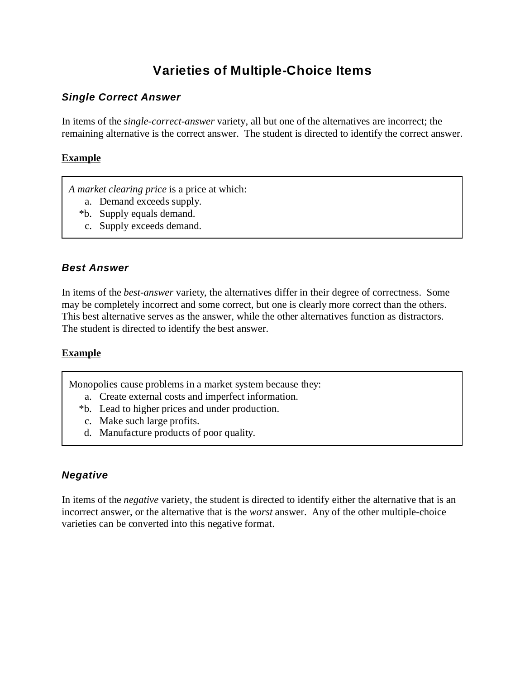# **Varieties of Multiple-Choice Items**

## *Single Correct Answer*

In items of the *single-correct-answer* variety, all but one of the alternatives are incorrect; the remaining alternative is the correct answer. The student is directed to identify the correct answer.

#### **Example**

- *A market clearing price* is a price at which:
	- a. Demand exceeds supply.
	- \*b. Supply equals demand.
	- c. Supply exceeds demand.

## *Best Answer*

In items of the *best-answer* variety, the alternatives differ in their degree of correctness. Some may be completely incorrect and some correct, but one is clearly more correct than the others. This best alternative serves as the answer, while the other alternatives function as distractors. The student is directed to identify the best answer.

#### **Example**

Monopolies cause problems in a market system because they:

- a. Create external costs and imperfect information.
- \*b. Lead to higher prices and under production.
- c. Make such large profits.
- d. Manufacture products of poor quality.

# *Negative*

In items of the *negative* variety, the student is directed to identify either the alternative that is an incorrect answer, or the alternative that is the *worst* answer. Any of the other multiple-choice varieties can be converted into this negative format.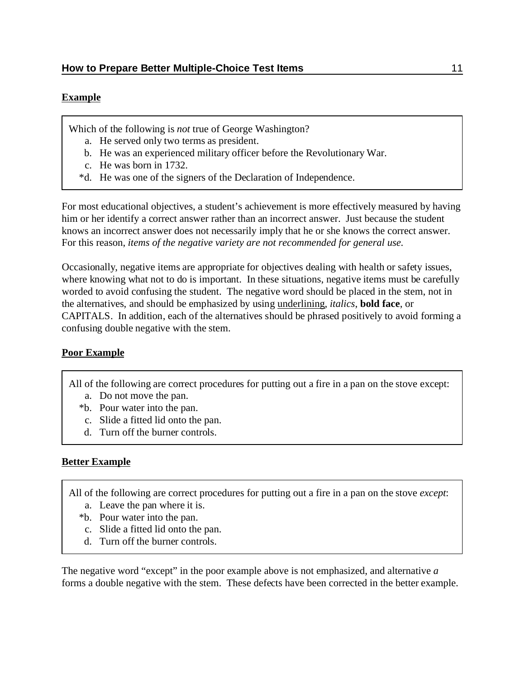# **Example**

Which of the following is *not* true of George Washington?

- a. He served only two terms as president.
- b. He was an experienced military officer before the Revolutionary War.
- c. He was born in 1732.
- \*d. He was one of the signers of the Declaration of Independence.

For most educational objectives, a student's achievement is more effectively measured by having him or her identify a correct answer rather than an incorrect answer. Just because the student knows an incorrect answer does not necessarily imply that he or she knows the correct answer. For this reason, *items of the negative variety are not recommended for general use.*

Occasionally, negative items are appropriate for objectives dealing with health or safety issues, where knowing what not to do is important. In these situations, negative items must be carefully worded to avoid confusing the student. The negative word should be placed in the stem, not in the alternatives, and should be emphasized by using underlining, *italics*, **bold face**, or CAPITALS. In addition, each of the alternatives should be phrased positively to avoid forming a confusing double negative with the stem.

# **Poor Example**

All of the following are correct procedures for putting out a fire in a pan on the stove except:

- a. Do not move the pan.
- \*b. Pour water into the pan.
- c. Slide a fitted lid onto the pan.
- d. Turn off the burner controls.

# **Better Example**

All of the following are correct procedures for putting out a fire in a pan on the stove *except*:

- a. Leave the pan where it is.
- \*b. Pour water into the pan.
- c. Slide a fitted lid onto the pan.
- d. Turn off the burner controls.

The negative word "except" in the poor example above is not emphasized, and alternative *a* forms a double negative with the stem. These defects have been corrected in the better example.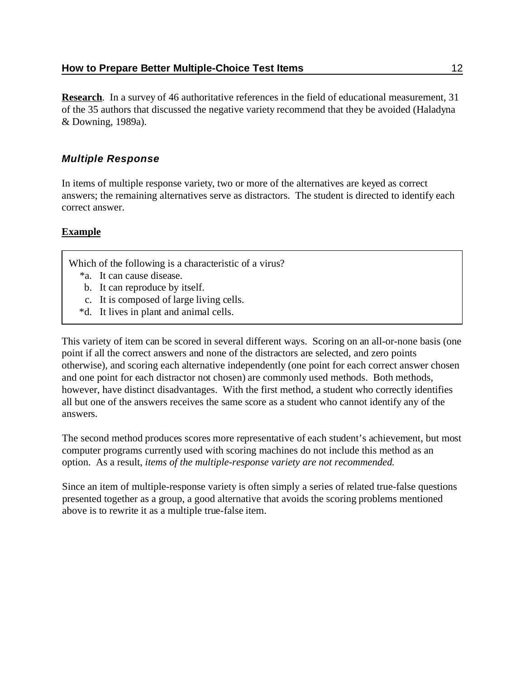**Research.** In a survey of 46 authoritative references in the field of educational measurement, 31 of the 35 authors that discussed the negative variety recommend that they be avoided (Haladyna & Downing, 1989a).

# *Multiple Response*

In items of multiple response variety, two or more of the alternatives are keyed as correct answers; the remaining alternatives serve as distractors. The student is directed to identify each correct answer.

# **Example**

Which of the following is a characteristic of a virus?

- \*a. It can cause disease.
- b. It can reproduce by itself.
- c. It is composed of large living cells.
- \*d. It lives in plant and animal cells.

This variety of item can be scored in several different ways. Scoring on an all-or-none basis (one point if all the correct answers and none of the distractors are selected, and zero points otherwise), and scoring each alternative independently (one point for each correct answer chosen and one point for each distractor not chosen) are commonly used methods. Both methods, however, have distinct disadvantages. With the first method, a student who correctly identifies all but one of the answers receives the same score as a student who cannot identify any of the answers.

The second method produces scores more representative of each student's achievement, but most computer programs currently used with scoring machines do not include this method as an option. As a result, *items of the multiple-response variety are not recommended*.

Since an item of multiple-response variety is often simply a series of related true-false questions presented together as a group, a good alternative that avoids the scoring problems mentioned above is to rewrite it as a multiple true-false item.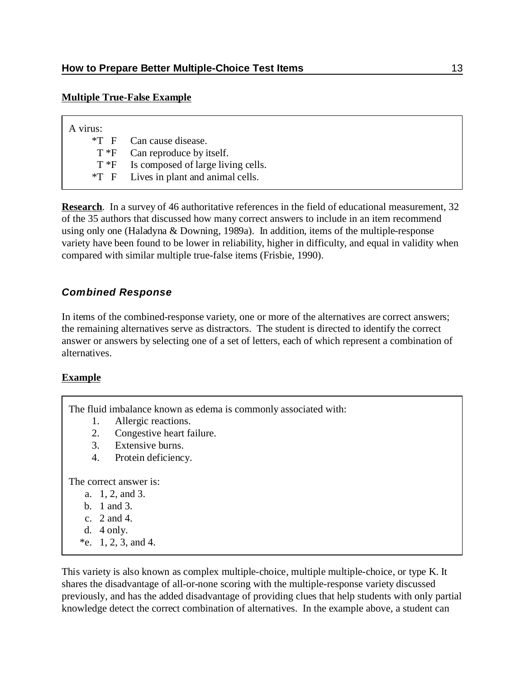#### **Multiple True-False Example**

| A virus: |                                            |
|----------|--------------------------------------------|
|          | $*T$ F Can cause disease.                  |
|          | $T * F$ Can reproduce by itself.           |
|          | $T * F$ Is composed of large living cells. |
|          | $*T$ F Lives in plant and animal cells.    |
|          |                                            |

**Research**. In a survey of 46 authoritative references in the field of educational measurement, 32 of the 35 authors that discussed how many correct answers to include in an item recommend using only one (Haladyna & Downing, 1989a). In addition, items of the multiple-response variety have been found to be lower in reliability, higher in difficulty, and equal in validity when compared with similar multiple true-false items (Frisbie, 1990).

# *Combined Response*

In items of the combined-response variety, one or more of the alternatives are correct answers; the remaining alternatives serve as distractors. The student is directed to identify the correct answer or answers by selecting one of a set of letters, each of which represent a combination of alternatives.

#### **Example**

The fluid imbalance known as edema is commonly associated with:

- 1. Allergic reactions.
- 2. Congestive heart failure.
- 3. Extensive burns.
- 4. Protein deficiency.

The correct answer is:

- a. 1, 2, and 3.
- b. 1 and 3.
- c. 2 and 4.
- d. 4 only.
- \*e. 1, 2, 3, and 4.

This variety is also known as complex multiple-choice, multiple multiple-choice, or type K. It shares the disadvantage of all-or-none scoring with the multiple-response variety discussed previously, and has the added disadvantage of providing clues that help students with only partial knowledge detect the correct combination of alternatives. In the example above, a student can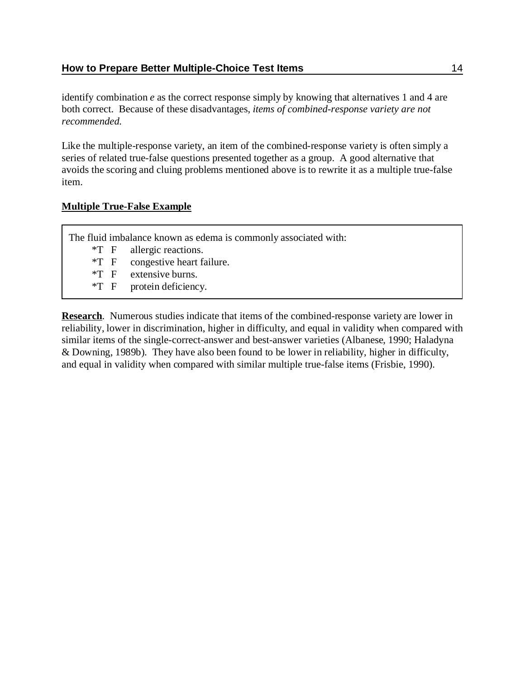### **How to Prepare Better Multiple-Choice Test Items** 14

identify combination *e* as the correct response simply by knowing that alternatives 1 and 4 are both correct. Because of these disadvantages, *items of combined-response variety are not recommended.*

Like the multiple-response variety, an item of the combined-response variety is often simply a series of related true-false questions presented together as a group. A good alternative that avoids the scoring and cluing problems mentioned above is to rewrite it as a multiple true-false item.

#### **Multiple True-False Example**

The fluid imbalance known as edema is commonly associated with:

- \*T F allergic reactions.
- \*T F congestive heart failure.
- \*T F extensive burns.
- \*T F protein deficiency.

**Research.** Numerous studies indicate that items of the combined-response variety are lower in reliability, lower in discrimination, higher in difficulty, and equal in validity when compared with similar items of the single-correct-answer and best-answer varieties (Albanese, 1990; Haladyna & Downing, 1989b). They have also been found to be lower in reliability, higher in difficulty, and equal in validity when compared with similar multiple true-false items (Frisbie, 1990).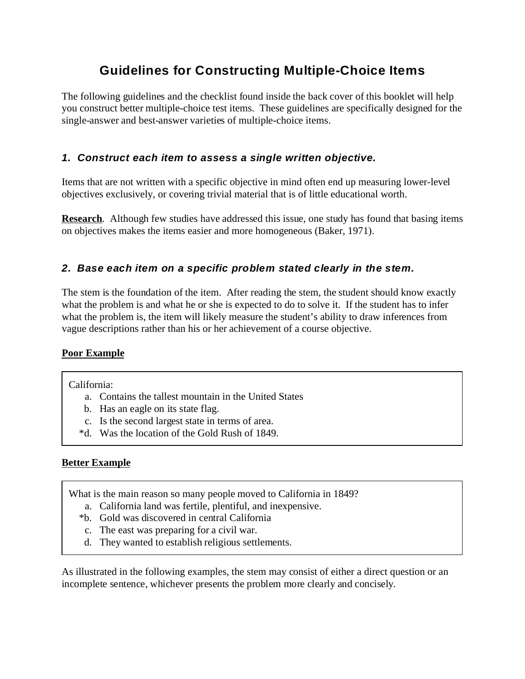# **Guidelines for Constructing Multiple-Choice Items**

The following guidelines and the checklist found inside the back cover of this booklet will help you construct better multiple-choice test items. These guidelines are specifically designed for the single-answer and best-answer varieties of multiple-choice items.

# *1. Construct each item to assess a single written objective.*

Items that are not written with a specific objective in mind often end up measuring lower-level objectives exclusively, or covering trivial material that is of little educational worth.

**Research**. Although few studies have addressed this issue, one study has found that basing items on objectives makes the items easier and more homogeneous (Baker, 1971).

# *2. Base each item on a specific problem stated clearly in the stem.*

The stem is the foundation of the item. After reading the stem, the student should know exactly what the problem is and what he or she is expected to do to solve it. If the student has to infer what the problem is, the item will likely measure the student's ability to draw inferences from vague descriptions rather than his or her achievement of a course objective.

#### **Poor Example**

#### California:

- a. Contains the tallest mountain in the United States
- b. Has an eagle on its state flag.
- c. Is the second largest state in terms of area.
- \*d. Was the location of the Gold Rush of 1849.

#### **Better Example**

What is the main reason so many people moved to California in 1849?

- a. California land was fertile, plentiful, and inexpensive.
- \*b. Gold was discovered in central California
- c. The east was preparing for a civil war.
- d. They wanted to establish religious settlements.

As illustrated in the following examples, the stem may consist of either a direct question or an incomplete sentence, whichever presents the problem more clearly and concisely.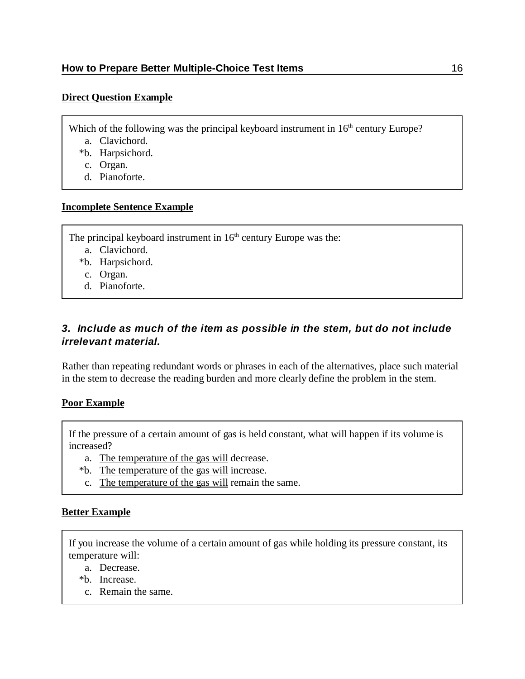#### **Direct Question Example**

Which of the following was the principal keyboard instrument in 16<sup>th</sup> century Europe?

- a. Clavichord.
- \*b. Harpsichord.
- c. Organ.
- d. Pianoforte.

#### **Incomplete Sentence Example**

The principal keyboard instrument in  $16<sup>th</sup>$  century Europe was the:

- a. Clavichord.
- \*b. Harpsichord.
- c. Organ.
- d. Pianoforte.

# *3. Include as much of the item as possible in the stem, but do not include irrelevant material.*

Rather than repeating redundant words or phrases in each of the alternatives, place such material in the stem to decrease the reading burden and more clearly define the problem in the stem.

#### **Poor Example**

If the pressure of a certain amount of gas is held constant, what will happen if its volume is increased?

- a. The temperature of the gas will decrease.
- \*b. The temperature of the gas will increase.
- c. The temperature of the gas will remain the same.

#### **Better Example**

If you increase the volume of a certain amount of gas while holding its pressure constant, its temperature will:

- a. Decrease.
- \*b. Increase.
- c. Remain the same.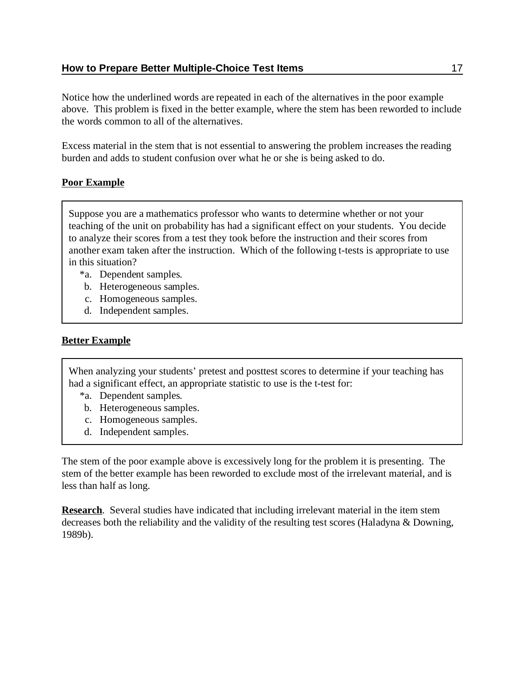## **How to Prepare Better Multiple-Choice Test Items** 17

Notice how the underlined words are repeated in each of the alternatives in the poor example above. This problem is fixed in the better example, where the stem has been reworded to include the words common to all of the alternatives.

Excess material in the stem that is not essential to answering the problem increases the reading burden and adds to student confusion over what he or she is being asked to do.

## **Poor Example**

Suppose you are a mathematics professor who wants to determine whether or not your teaching of the unit on probability has had a significant effect on your students. You decide to analyze their scores from a test they took before the instruction and their scores from another exam taken after the instruction. Which of the following t-tests is appropriate to use in this situation?

- \*a. Dependent samples.
- b. Heterogeneous samples.
- c. Homogeneous samples.
- d. Independent samples.

#### **Better Example**

When analyzing your students' pretest and posttest scores to determine if your teaching has had a significant effect, an appropriate statistic to use is the t-test for:

- \*a. Dependent samples.
- b. Heterogeneous samples.
- c. Homogeneous samples.
- d. Independent samples.

The stem of the poor example above is excessively long for the problem it is presenting. The stem of the better example has been reworded to exclude most of the irrelevant material, and is less than half as long.

**Research.** Several studies have indicated that including irrelevant material in the item stem decreases both the reliability and the validity of the resulting test scores (Haladyna & Downing, 1989b).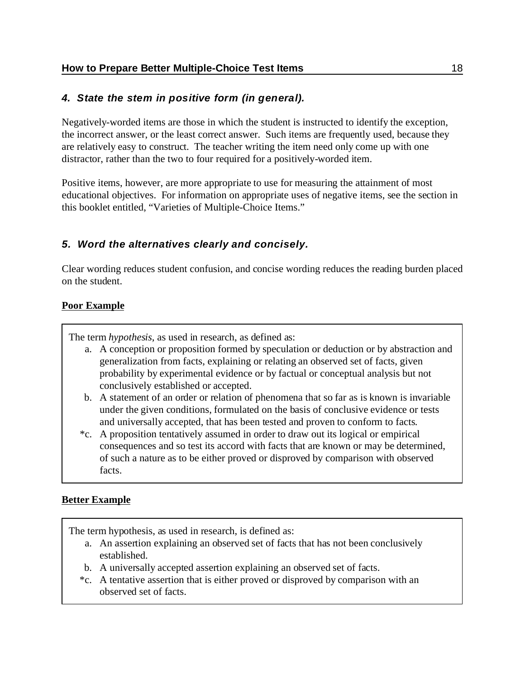#### **How to Prepare Better Multiple-Choice Test Items** 18

# *4. State the stem in positive form (in general).*

Negatively-worded items are those in which the student is instructed to identify the exception, the incorrect answer, or the least correct answer. Such items are frequently used, because they are relatively easy to construct. The teacher writing the item need only come up with one distractor, rather than the two to four required for a positively-worded item.

Positive items, however, are more appropriate to use for measuring the attainment of most educational objectives. For information on appropriate uses of negative items, see the section in this booklet entitled, "Varieties of Multiple-Choice Items."

## *5. Word the alternatives clearly and concisely.*

Clear wording reduces student confusion, and concise wording reduces the reading burden placed on the student.

#### **Poor Example**

The term *hypothesis*, as used in research, as defined as:

- a. A conception or proposition formed by speculation or deduction or by abstraction and generalization from facts, explaining or relating an observed set of facts, given probability by experimental evidence or by factual or conceptual analysis but not conclusively established or accepted.
- b. A statement of an order or relation of phenomena that so far as is known is invariable under the given conditions, formulated on the basis of conclusive evidence or tests and universally accepted, that has been tested and proven to conform to facts.
- \*c. A proposition tentatively assumed in order to draw out its logical or empirical consequences and so test its accord with facts that are known or may be determined, of such a nature as to be either proved or disproved by comparison with observed facts.

#### **Better Example**

The term hypothesis, as used in research, is defined as:

- a. An assertion explaining an observed set of facts that has not been conclusively established.
- b. A universally accepted assertion explaining an observed set of facts.
- \*c. A tentative assertion that is either proved or disproved by comparison with an observed set of facts.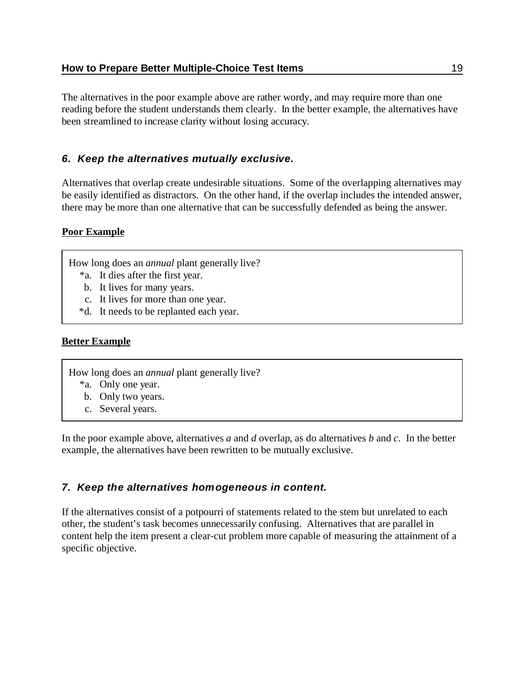The alternatives in the poor example above are rather wordy, and may require more than one reading before the student understands them clearly. In the better example, the alternatives have been streamlined to increase clarity without losing accuracy.

# *6. Keep the alternatives mutually exclusive.*

Alternatives that overlap create undesirable situations. Some of the overlapping alternatives may be easily identified as distractors. On the other hand, if the overlap includes the intended answer, there may be more than one alternative that can be successfully defended as being the answer.

#### **Poor Example**

How long does an *annual* plant generally live?

- \*a. It dies after the first year.
- b. It lives for many years.
- c. It lives for more than one year.
- \*d. It needs to be replanted each year.

#### **Better Example**

How long does an *annual* plant generally live?

- \*a. Only one year.
- b. Only two years.
- c. Several years.

In the poor example above, alternatives *a* and *d* overlap, as do alternatives *b* and *c*. In the better example, the alternatives have been rewritten to be mutually exclusive.

#### *7. Keep the alternatives homogeneous in content.*

If the alternatives consist of a potpourri of statements related to the stem but unrelated to each other, the student's task becomes unnecessarily confusing. Alternatives that are parallel in content help the item present a clear-cut problem more capable of measuring the attainment of a specific objective.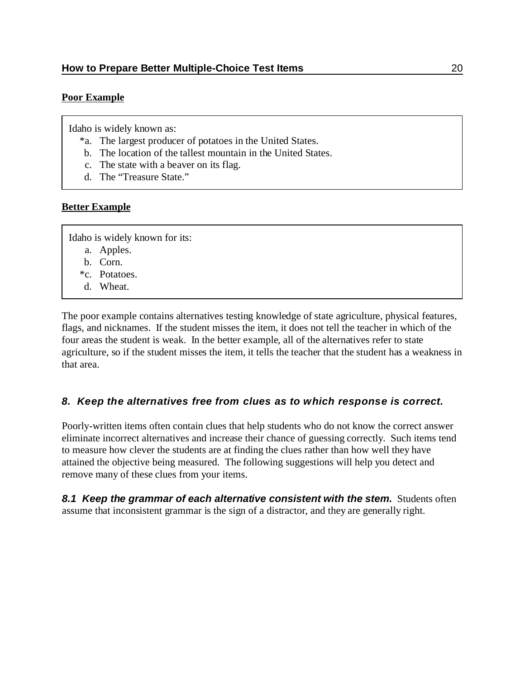#### **Poor Example**

Idaho is widely known as:

- \*a. The largest producer of potatoes in the United States.
- b. The location of the tallest mountain in the United States.
- c. The state with a beaver on its flag.
- d. The "Treasure State."

#### **Better Example**

Idaho is widely known for its:

- a. Apples.
- b. Corn.
- \*c. Potatoes.
- d. Wheat.

The poor example contains alternatives testing knowledge of state agriculture, physical features, flags, and nicknames. If the student misses the item, it does not tell the teacher in which of the four areas the student is weak. In the better example, all of the alternatives refer to state agriculture, so if the student misses the item, it tells the teacher that the student has a weakness in that area.

#### *8. Keep the alternatives free from clues as to which response is correct.*

Poorly-written items often contain clues that help students who do not know the correct answer eliminate incorrect alternatives and increase their chance of guessing correctly. Such items tend to measure how clever the students are at finding the clues rather than how well they have attained the objective being measured. The following suggestions will help you detect and remove many of these clues from your items.

8.1 Keep the grammar of each alternative consistent with the stem. Students often assume that inconsistent grammar is the sign of a distractor, and they are generally right.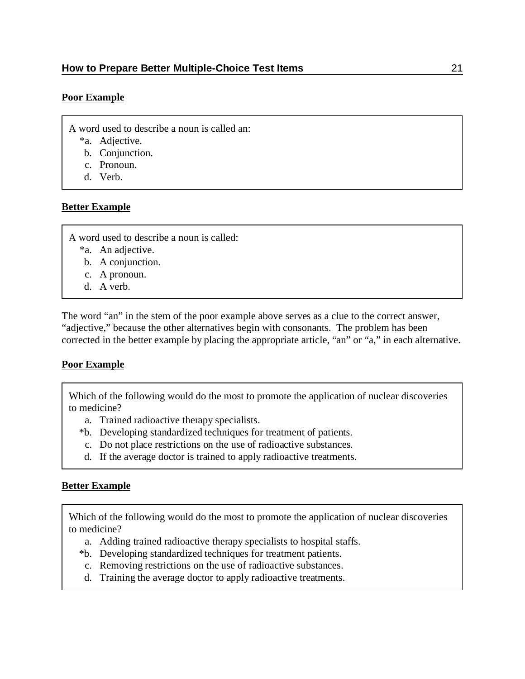#### **Poor Example**

A word used to describe a noun is called an:

- \*a. Adjective.
- b. Conjunction.
- c. Pronoun.
- d. Verb.

#### **Better Example**

A word used to describe a noun is called:

- \*a. An adjective.
- b. A conjunction.
- c. A pronoun.
- d. A verb.

The word "an" in the stem of the poor example above serves as a clue to the correct answer, "adjective," because the other alternatives begin with consonants. The problem has been corrected in the better example by placing the appropriate article, "an" or "a," in each alternative.

#### **Poor Example**

Which of the following would do the most to promote the application of nuclear discoveries to medicine?

- a. Trained radioactive therapy specialists.
- \*b. Developing standardized techniques for treatment of patients.
- c. Do not place restrictions on the use of radioactive substances.
- d. If the average doctor is trained to apply radioactive treatments.

#### **Better Example**

Which of the following would do the most to promote the application of nuclear discoveries to medicine?

- a. Adding trained radioactive therapy specialists to hospital staffs.
- \*b. Developing standardized techniques for treatment patients.
- c. Removing restrictions on the use of radioactive substances.
- d. Training the average doctor to apply radioactive treatments.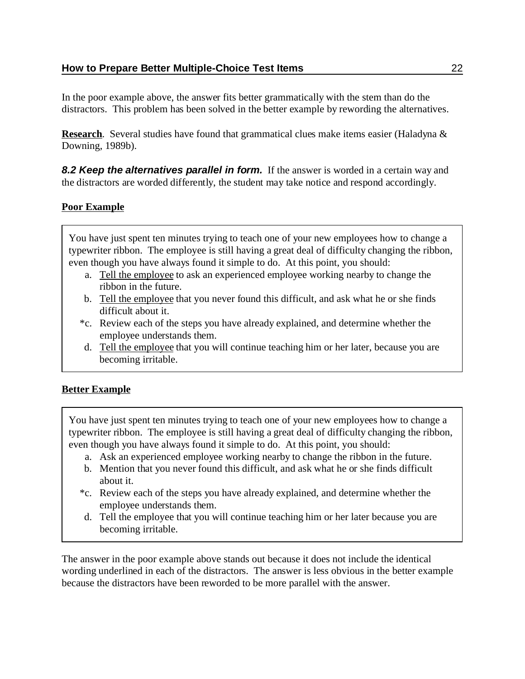In the poor example above, the answer fits better grammatically with the stem than do the distractors. This problem has been solved in the better example by rewording the alternatives.

**Research**. Several studies have found that grammatical clues make items easier (Haladyna & Downing, 1989b).

**8.2 Keep the alternatives parallel in form.** If the answer is worded in a certain way and the distractors are worded differently, the student may take notice and respond accordingly.

## **Poor Example**

You have just spent ten minutes trying to teach one of your new employees how to change a typewriter ribbon. The employee is still having a great deal of difficulty changing the ribbon, even though you have always found it simple to do. At this point, you should:

- a. Tell the employee to ask an experienced employee working nearby to change the ribbon in the future.
- b. Tell the employee that you never found this difficult, and ask what he or she finds difficult about it.
- \*c. Review each of the steps you have already explained, and determine whether the employee understands them.
- d. Tell the employee that you will continue teaching him or her later, because you are becoming irritable.

# **Better Example**

You have just spent ten minutes trying to teach one of your new employees how to change a typewriter ribbon. The employee is still having a great deal of difficulty changing the ribbon, even though you have always found it simple to do. At this point, you should:

- a. Ask an experienced employee working nearby to change the ribbon in the future.
- b. Mention that you never found this difficult, and ask what he or she finds difficult about it.
- \*c. Review each of the steps you have already explained, and determine whether the employee understands them.
- d. Tell the employee that you will continue teaching him or her later because you are becoming irritable.

The answer in the poor example above stands out because it does not include the identical wording underlined in each of the distractors. The answer is less obvious in the better example because the distractors have been reworded to be more parallel with the answer.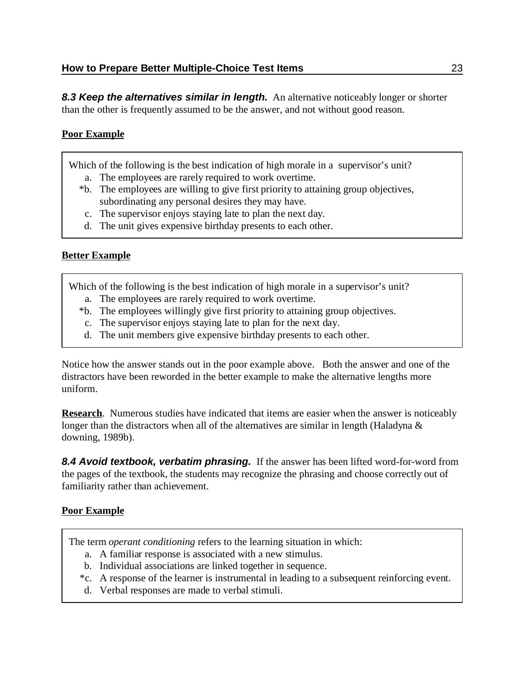*8.3 Keep the alternatives similar in length.* An alternative noticeably longer or shorter than the other is frequently assumed to be the answer, and not without good reason.

# **Poor Example**

Which of the following is the best indication of high morale in a supervisor's unit?

- a. The employees are rarely required to work overtime.
- \*b. The employees are willing to give first priority to attaining group objectives, subordinating any personal desires they may have.
- c. The supervisor enjoys staying late to plan the next day.
- d. The unit gives expensive birthday presents to each other.

## **Better Example**

Which of the following is the best indication of high morale in a supervisor's unit?

- a. The employees are rarely required to work overtime.
- \*b. The employees willingly give first priority to attaining group objectives.
- c. The supervisor enjoys staying late to plan for the next day.
- d. The unit members give expensive birthday presents to each other.

Notice how the answer stands out in the poor example above. Both the answer and one of the distractors have been reworded in the better example to make the alternative lengths more uniform.

**Research**. Numerous studies have indicated that items are easier when the answer is noticeably longer than the distractors when all of the alternatives are similar in length (Haladyna & downing, 1989b).

*8.4 Avoid textbook, verbatim phrasing.* If the answer has been lifted word-for-word from the pages of the textbook, the students may recognize the phrasing and choose correctly out of familiarity rather than achievement.

# **Poor Example**

The term *operant conditioning* refers to the learning situation in which:

- a. A familiar response is associated with a new stimulus.
- b. Individual associations are linked together in sequence.
- \*c. A response of the learner is instrumental in leading to a subsequent reinforcing event.
- d. Verbal responses are made to verbal stimuli.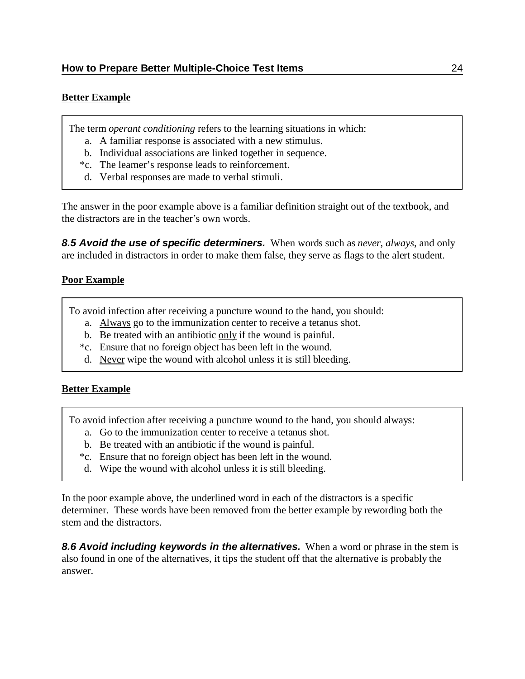#### **Better Example**

The term *operant conditioning* refers to the learning situations in which:

- a. A familiar response is associated with a new stimulus.
- b. Individual associations are linked together in sequence.
- \*c. The learner's response leads to reinforcement.
- d. Verbal responses are made to verbal stimuli.

The answer in the poor example above is a familiar definition straight out of the textbook, and the distractors are in the teacher's own words.

*8.5 Avoid the use of specific determiners.* When words such as *never*, *always*, and only are included in distractors in order to make them false, they serve as flags to the alert student.

## **Poor Example**

To avoid infection after receiving a puncture wound to the hand, you should:

- a. Always go to the immunization center to receive a tetanus shot.
- b. Be treated with an antibiotic only if the wound is painful.
- \*c. Ensure that no foreign object has been left in the wound.
- d. Never wipe the wound with alcohol unless it is still bleeding.

#### **Better Example**

To avoid infection after receiving a puncture wound to the hand, you should always:

- a. Go to the immunization center to receive a tetanus shot.
- b. Be treated with an antibiotic if the wound is painful.
- \*c. Ensure that no foreign object has been left in the wound.
- d. Wipe the wound with alcohol unless it is still bleeding.

In the poor example above, the underlined word in each of the distractors is a specific determiner. These words have been removed from the better example by rewording both the stem and the distractors.

*8.6 Avoid including keywords in the alternatives.* When a word or phrase in the stem is also found in one of the alternatives, it tips the student off that the alternative is probably the answer.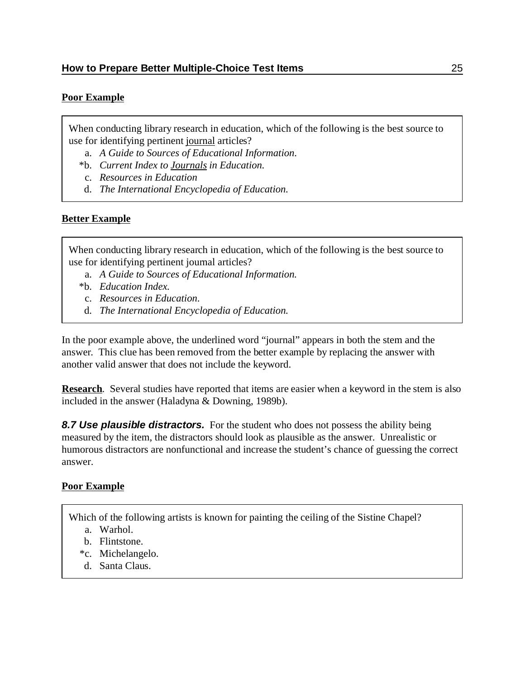#### **Poor Example**

When conducting library research in education, which of the following is the best source to use for identifying pertinent journal articles?

- a. *A Guide to Sources of Educational Information*.
- \*b. *Current Index to Journals in Education.*
- c. *Resources in Education*
- d. *The International Encyclopedia of Education.*

#### **Better Example**

When conducting library research in education, which of the following is the best source to use for identifying pertinent journal articles?

- a. *A Guide to Sources of Educational Information.*
- \*b. *Education Index.*
- c. *Resources in Education*.
- d. *The International Encyclopedia of Education.*

In the poor example above, the underlined word "journal" appears in both the stem and the answer. This clue has been removed from the better example by replacing the answer with another valid answer that does not include the keyword.

**Research.** Several studies have reported that items are easier when a keyword in the stem is also included in the answer (Haladyna & Downing, 1989b).

**8.7 Use plausible distractors.** For the student who does not possess the ability being measured by the item, the distractors should look as plausible as the answer. Unrealistic or humorous distractors are nonfunctional and increase the student's chance of guessing the correct answer.

#### **Poor Example**

Which of the following artists is known for painting the ceiling of the Sistine Chapel?

- a. Warhol.
- b. Flintstone.
- \*c. Michelangelo.
- d. Santa Claus.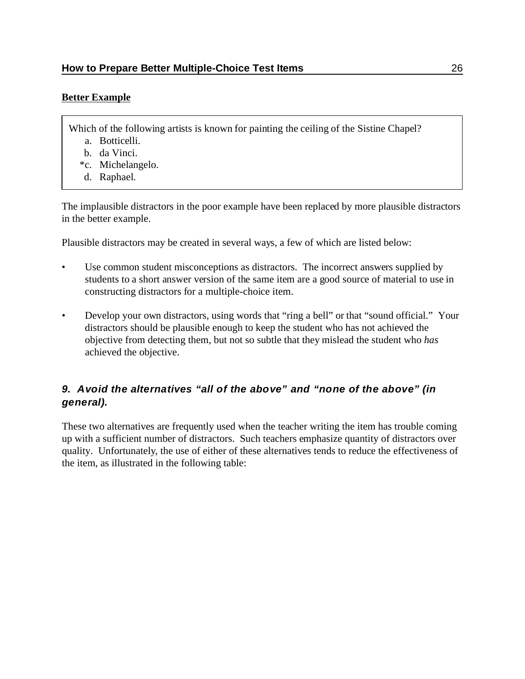## **Better Example**

Which of the following artists is known for painting the ceiling of the Sistine Chapel?

- a. Botticelli.
- b. da Vinci.
- \*c. Michelangelo.
- d. Raphael.

The implausible distractors in the poor example have been replaced by more plausible distractors in the better example.

Plausible distractors may be created in several ways, a few of which are listed below:

- Use common student misconceptions as distractors. The incorrect answers supplied by students to a short answer version of the same item are a good source of material to use in constructing distractors for a multiple-choice item.
- Develop your own distractors, using words that "ring a bell" or that "sound official." Your distractors should be plausible enough to keep the student who has not achieved the objective from detecting them, but not so subtle that they mislead the student who *has* achieved the objective.

# *9. Avoid the alternatives "all of the above" and "none of the above" (in general).*

These two alternatives are frequently used when the teacher writing the item has trouble coming up with a sufficient number of distractors. Such teachers emphasize quantity of distractors over quality. Unfortunately, the use of either of these alternatives tends to reduce the effectiveness of the item, as illustrated in the following table: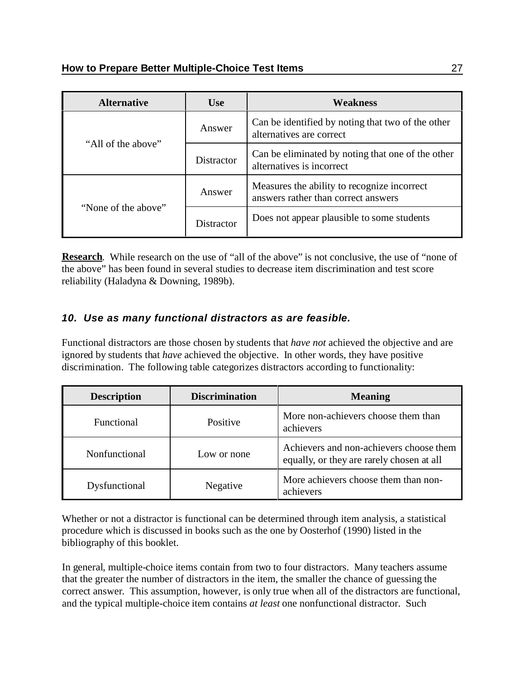| <b>Alternative</b>  | <b>Use</b>        | <b>Weakness</b>                                                                    |
|---------------------|-------------------|------------------------------------------------------------------------------------|
| "All of the above"  | Answer            | Can be identified by noting that two of the other<br>alternatives are correct      |
|                     | <b>Distractor</b> | Can be eliminated by noting that one of the other<br>alternatives is incorrect     |
| "None of the above" | Answer            | Measures the ability to recognize incorrect<br>answers rather than correct answers |
|                     | <b>Distractor</b> | Does not appear plausible to some students                                         |

**Research.** While research on the use of "all of the above" is not conclusive, the use of "none of the above" has been found in several studies to decrease item discrimination and test score reliability (Haladyna & Downing, 1989b).

# *10. Use as many functional distractors as are feasible.*

Functional distractors are those chosen by students that *have not* achieved the objective and are ignored by students that *have* achieved the objective. In other words, they have positive discrimination. The following table categorizes distractors according to functionality:

| <b>Description</b>   | <b>Discrimination</b> | <b>Meaning</b>                                                                       |
|----------------------|-----------------------|--------------------------------------------------------------------------------------|
| Functional           | Positive              | More non-achievers choose them than<br>achievers                                     |
| <b>Nonfunctional</b> | Low or none           | Achievers and non-achievers choose them<br>equally, or they are rarely chosen at all |
| Dysfunctional        | Negative              | More achievers choose them than non-<br>achievers                                    |

Whether or not a distractor is functional can be determined through item analysis, a statistical procedure which is discussed in books such as the one by Oosterhof (1990) listed in the bibliography of this booklet.

In general, multiple-choice items contain from two to four distractors. Many teachers assume that the greater the number of distractors in the item, the smaller the chance of guessing the correct answer. This assumption, however, is only true when all of the distractors are functional, and the typical multiple-choice item contains *at least* one nonfunctional distractor. Such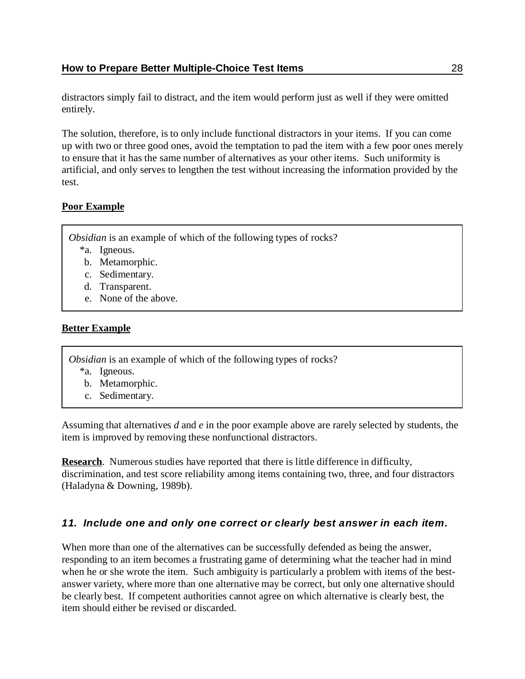distractors simply fail to distract, and the item would perform just as well if they were omitted entirely.

The solution, therefore, is to only include functional distractors in your items. If you can come up with two or three good ones, avoid the temptation to pad the item with a few poor ones merely to ensure that it has the same number of alternatives as your other items. Such uniformity is artificial, and only serves to lengthen the test without increasing the information provided by the test.

## **Poor Example**

*Obsidian* is an example of which of the following types of rocks?

- \*a. Igneous.
- b. Metamorphic.
- c. Sedimentary.
- d. Transparent.
- e. None of the above.

## **Better Example**

*Obsidian* is an example of which of the following types of rocks?

- \*a. Igneous.
- b. Metamorphic.
- c. Sedimentary.

Assuming that alternatives *d* and *e* in the poor example above are rarely selected by students, the item is improved by removing these nonfunctional distractors.

**Research**. Numerous studies have reported that there is little difference in difficulty, discrimination, and test score reliability among items containing two, three, and four distractors (Haladyna & Downing, 1989b).

# *11. Include one and only one correct or clearly best answer in each item.*

When more than one of the alternatives can be successfully defended as being the answer, responding to an item becomes a frustrating game of determining what the teacher had in mind when he or she wrote the item. Such ambiguity is particularly a problem with items of the bestanswer variety, where more than one alternative may be correct, but only one alternative should be clearly best. If competent authorities cannot agree on which alternative is clearly best, the item should either be revised or discarded.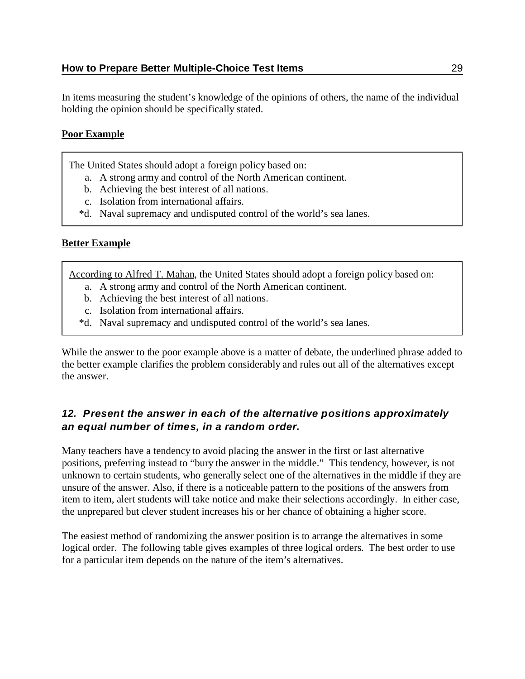In items measuring the student's knowledge of the opinions of others, the name of the individual holding the opinion should be specifically stated.

## **Poor Example**

The United States should adopt a foreign policy based on:

- a. A strong army and control of the North American continent.
- b. Achieving the best interest of all nations.
- c. Isolation from international affairs.
- \*d. Naval supremacy and undisputed control of the world's sea lanes.

#### **Better Example**

According to Alfred T. Mahan, the United States should adopt a foreign policy based on:

- a. A strong army and control of the North American continent.
- b. Achieving the best interest of all nations.
- c. Isolation from international affairs.
- \*d. Naval supremacy and undisputed control of the world's sea lanes.

While the answer to the poor example above is a matter of debate, the underlined phrase added to the better example clarifies the problem considerably and rules out all of the alternatives except the answer.

# *12. Present the answer in each of the alternative positions approximately an equal number of times, in a random order.*

Many teachers have a tendency to avoid placing the answer in the first or last alternative positions, preferring instead to "bury the answer in the middle." This tendency, however, is not unknown to certain students, who generally select one of the alternatives in the middle if they are unsure of the answer. Also, if there is a noticeable pattern to the positions of the answers from item to item, alert students will take notice and make their selections accordingly. In either case, the unprepared but clever student increases his or her chance of obtaining a higher score.

The easiest method of randomizing the answer position is to arrange the alternatives in some logical order. The following table gives examples of three logical orders. The best order to use for a particular item depends on the nature of the item's alternatives.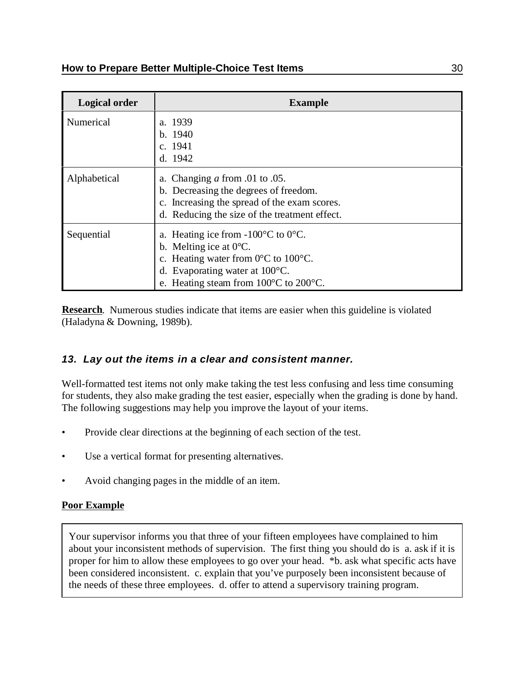| <b>Logical order</b> | <b>Example</b>                                                                                                                                                                                                                                          |
|----------------------|---------------------------------------------------------------------------------------------------------------------------------------------------------------------------------------------------------------------------------------------------------|
| Numerical            | a. 1939<br>b. 1940<br>c. 1941<br>d. 1942                                                                                                                                                                                                                |
| Alphabetical         | Changing <i>a</i> from .01 to .05.<br>a.<br>b. Decreasing the degrees of freedom.<br>c. Increasing the spread of the exam scores.<br>Reducing the size of the treatment effect.<br>d.                                                                   |
| Sequential           | a. Heating ice from $-100^{\circ}$ C to 0°C.<br>b. Melting ice at $0^{\circ}$ C.<br>c. Heating water from $0^{\circ}$ C to $100^{\circ}$ C.<br>Evaporating water at $100^{\circ}$ C.<br>d.<br>e. Heating steam from $100^{\circ}$ C to $200^{\circ}$ C. |

**Research.** Numerous studies indicate that items are easier when this guideline is violated (Haladyna & Downing, 1989b).

# *13. Lay out the items in a clear and consistent manner.*

Well-formatted test items not only make taking the test less confusing and less time consuming for students, they also make grading the test easier, especially when the grading is done by hand. The following suggestions may help you improve the layout of your items.

- Provide clear directions at the beginning of each section of the test.
- Use a vertical format for presenting alternatives.
- Avoid changing pages in the middle of an item.

# **Poor Example**

Your supervisor informs you that three of your fifteen employees have complained to him about your inconsistent methods of supervision. The first thing you should do is a. ask if it is proper for him to allow these employees to go over your head. \*b. ask what specific acts have been considered inconsistent. c. explain that you've purposely been inconsistent because of the needs of these three employees. d. offer to attend a supervisory training program.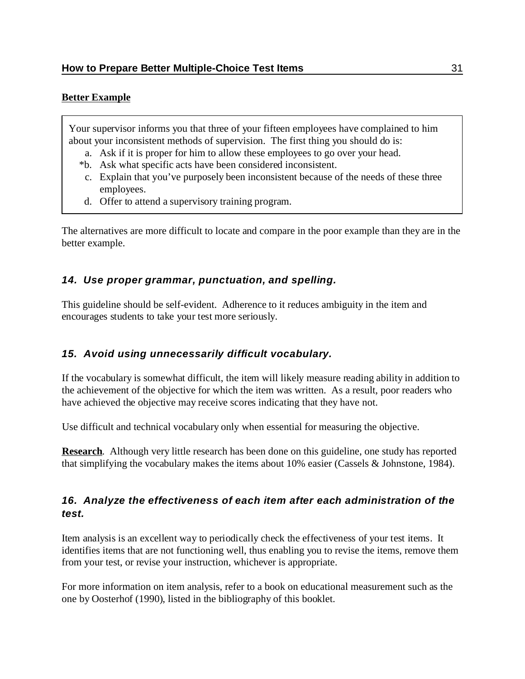#### **Better Example**

Your supervisor informs you that three of your fifteen employees have complained to him about your inconsistent methods of supervision. The first thing you should do is:

- a. Ask if it is proper for him to allow these employees to go over your head.
- \*b. Ask what specific acts have been considered inconsistent.
- c. Explain that you've purposely been inconsistent because of the needs of these three employees.
- d. Offer to attend a supervisory training program.

The alternatives are more difficult to locate and compare in the poor example than they are in the better example.

## *14. Use proper grammar, punctuation, and spelling.*

This guideline should be self-evident. Adherence to it reduces ambiguity in the item and encourages students to take your test more seriously.

#### *15. Avoid using unnecessarily difficult vocabulary.*

If the vocabulary is somewhat difficult, the item will likely measure reading ability in addition to the achievement of the objective for which the item was written. As a result, poor readers who have achieved the objective may receive scores indicating that they have not.

Use difficult and technical vocabulary only when essential for measuring the objective.

**Research**. Although very little research has been done on this guideline, one study has reported that simplifying the vocabulary makes the items about 10% easier (Cassels & Johnstone, 1984).

# *16. Analyze the effectiveness of each item after each administration of the test.*

Item analysis is an excellent way to periodically check the effectiveness of your test items. It identifies items that are not functioning well, thus enabling you to revise the items, remove them from your test, or revise your instruction, whichever is appropriate.

For more information on item analysis, refer to a book on educational measurement such as the one by Oosterhof (1990), listed in the bibliography of this booklet.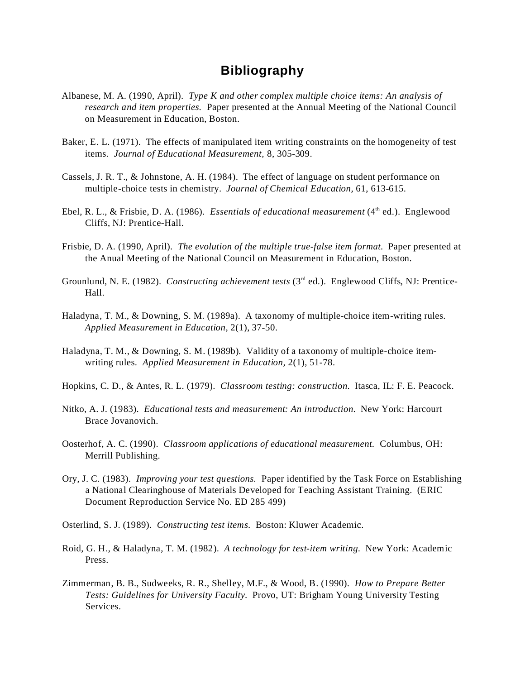# **Bibliography**

- Albanese, M. A. (1990, April). *Type K and other complex multiple choice items: An analysis of research and item properties.* Paper presented at the Annual Meeting of the National Council on Measurement in Education, Boston.
- Baker, E. L. (1971). The effects of manipulated item writing constraints on the homogeneity of test items. *Journal of Educational Measurement,* 8, 305-309.
- Cassels, J. R. T., & Johnstone, A. H. (1984). The effect of language on student performance on multiple-choice tests in chemistry. *Journal of Chemical Education,* 61, 613-615.
- Ebel, R. L., & Frisbie, D. A. (1986). *Essentials of educational measurement* (4<sup>th</sup> ed.). Englewood Cliffs, NJ: Prentice-Hall.
- Frisbie, D. A. (1990, April). *The evolution of the multiple true-false item format.* Paper presented at the Anual Meeting of the National Council on Measurement in Education, Boston.
- Grounlund, N. E. (1982). *Constructing achievement tests* (3<sup>rd</sup> ed.). Englewood Cliffs, NJ: Prentice-Hall.
- Haladyna, T. M., & Downing, S. M. (1989a). A taxonomy of multiple-choice item-writing rules. *Applied Measurement in Education,* 2(1), 37-50.
- Haladyna, T. M., & Downing, S. M. (1989b). Validity of a taxonomy of multiple-choice itemwriting rules. *Applied Measurement in Education,* 2(1), 51-78.
- Hopkins, C. D., & Antes, R. L. (1979). *Classroom testing: construction.* Itasca, IL: F. E. Peacock.
- Nitko, A. J. (1983). *Educational tests and measurement: An introduction.* New York: Harcourt Brace Jovanovich.
- Oosterhof, A. C. (1990). *Classroom applications of educational measurement.* Columbus, OH: Merrill Publishing.
- Ory, J. C. (1983). *Improving your test questions.* Paper identified by the Task Force on Establishing a National Clearinghouse of Materials Developed for Teaching Assistant Training. (ERIC Document Reproduction Service No. ED 285 499)
- Osterlind, S. J. (1989). *Constructing test items.* Boston: Kluwer Academic.
- Roid, G. H., & Haladyna, T. M. (1982). *A technology for test-item writing.* New York: Academic Press.
- Zimmerman, B. B., Sudweeks, R. R., Shelley, M.F., & Wood, B. (1990). *How to Prepare Better Tests: Guidelines for University Faculty*. Provo, UT: Brigham Young University Testing Services.